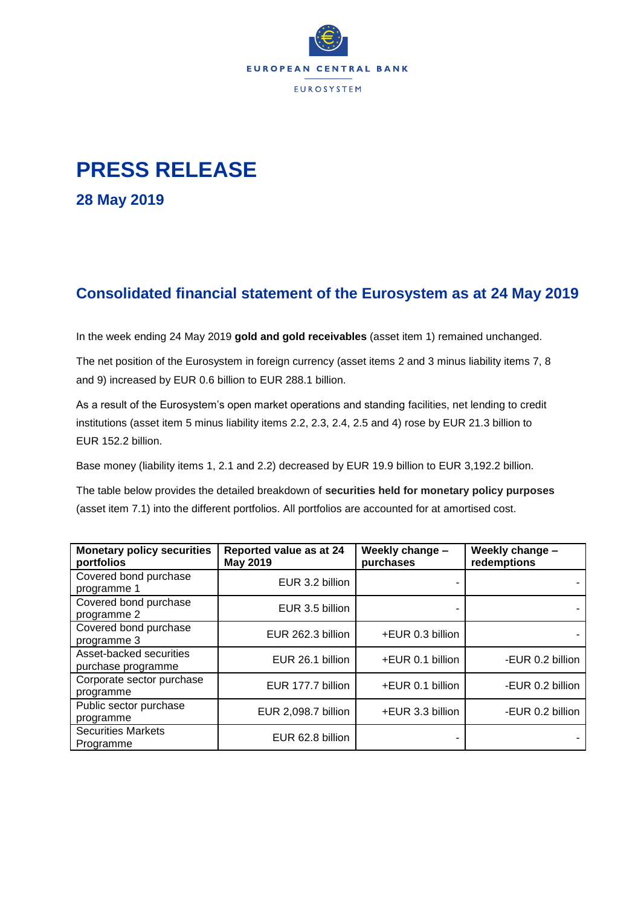

## **PRESS RELEASE**

**28 May 2019**

## **Consolidated financial statement of the Eurosystem as at 24 May 2019**

In the week ending 24 May 2019 **gold and gold receivables** (asset item 1) remained unchanged.

The net position of the Eurosystem in foreign currency (asset items 2 and 3 minus liability items 7, 8 and 9) increased by EUR 0.6 billion to EUR 288.1 billion.

As a result of the Eurosystem's open market operations and standing facilities, net lending to credit institutions (asset item 5 minus liability items 2.2, 2.3, 2.4, 2.5 and 4) rose by EUR 21.3 billion to EUR 152.2 billion.

Base money (liability items 1, 2.1 and 2.2) decreased by EUR 19.9 billion to EUR 3,192.2 billion.

The table below provides the detailed breakdown of **securities held for monetary policy purposes** (asset item 7.1) into the different portfolios. All portfolios are accounted for at amortised cost.

| <b>Monetary policy securities</b><br>portfolios | Reported value as at 24<br><b>May 2019</b> | Weekly change -<br>purchases | Weekly change -<br>redemptions |
|-------------------------------------------------|--------------------------------------------|------------------------------|--------------------------------|
| Covered bond purchase<br>programme 1            | EUR 3.2 billion                            |                              |                                |
| Covered bond purchase<br>programme 2            | EUR 3.5 billion                            |                              |                                |
| Covered bond purchase<br>programme 3            | EUR 262.3 billion                          | +EUR 0.3 billion             |                                |
| Asset-backed securities<br>purchase programme   | EUR 26.1 billion                           | +EUR 0.1 billion             | -EUR 0.2 billion               |
| Corporate sector purchase<br>programme          | EUR 177.7 billion                          | +EUR 0.1 billion             | -EUR 0.2 billion               |
| Public sector purchase<br>programme             | EUR 2,098.7 billion                        | +EUR 3.3 billion             | -EUR 0.2 billion               |
| <b>Securities Markets</b><br>Programme          | EUR 62.8 billion                           |                              |                                |